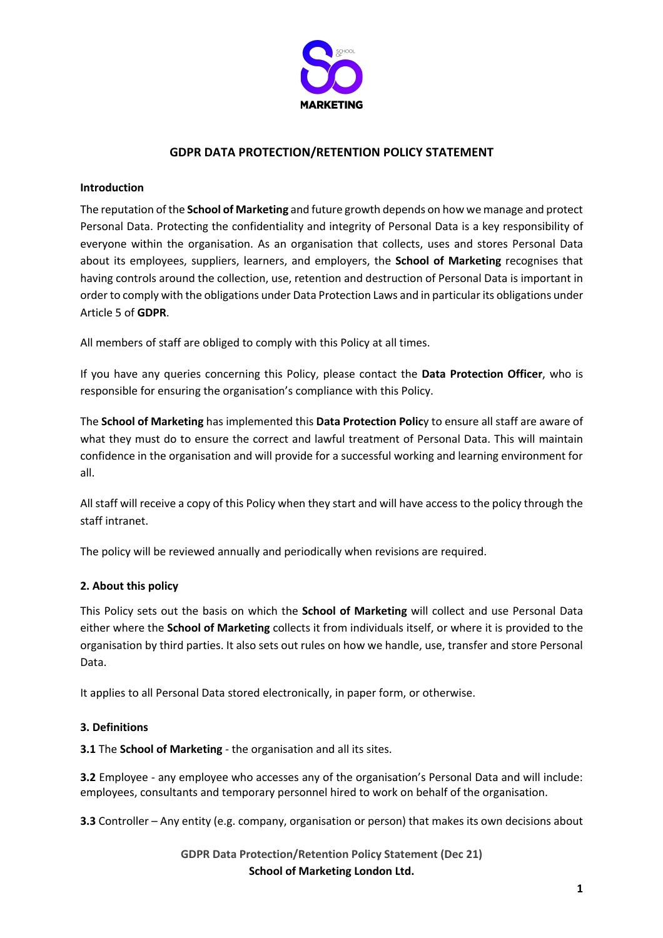

# **GDPR DATA PROTECTION/RETENTION POLICY STATEMENT**

### **Introduction**

The reputation of the **School of Marketing** and future growth depends on how we manage and protect Personal Data. Protecting the confidentiality and integrity of Personal Data is a key responsibility of everyone within the organisation. As an organisation that collects, uses and stores Personal Data about its employees, suppliers, learners, and employers, the **School of Marketing** recognises that having controls around the collection, use, retention and destruction of Personal Data is important in order to comply with the obligations under Data Protection Laws and in particular its obligations under Article 5 of **GDPR**.

All members of staff are obliged to comply with this Policy at all times.

If you have any queries concerning this Policy, please contact the **Data Protection Officer**, who is responsible for ensuring the organisation's compliance with this Policy.

The **School of Marketing** has implemented this **Data Protection Polic**y to ensure all staff are aware of what they must do to ensure the correct and lawful treatment of Personal Data. This will maintain confidence in the organisation and will provide for a successful working and learning environment for all.

All staff will receive a copy of this Policy when they start and will have access to the policy through the staff intranet.

The policy will be reviewed annually and periodically when revisions are required.

## **2. About this policy**

This Policy sets out the basis on which the **School of Marketing** will collect and use Personal Data either where the **School of Marketing** collects it from individuals itself, or where it is provided to the organisation by third parties. It also sets out rules on how we handle, use, transfer and store Personal Data.

It applies to all Personal Data stored electronically, in paper form, or otherwise.

## **3. Definitions**

**3.1** The **School of Marketing** - the organisation and all its sites.

**3.2** Employee - any employee who accesses any of the organisation's Personal Data and will include: employees, consultants and temporary personnel hired to work on behalf of the organisation.

**3.3** Controller – Any entity (e.g. company, organisation or person) that makes its own decisions about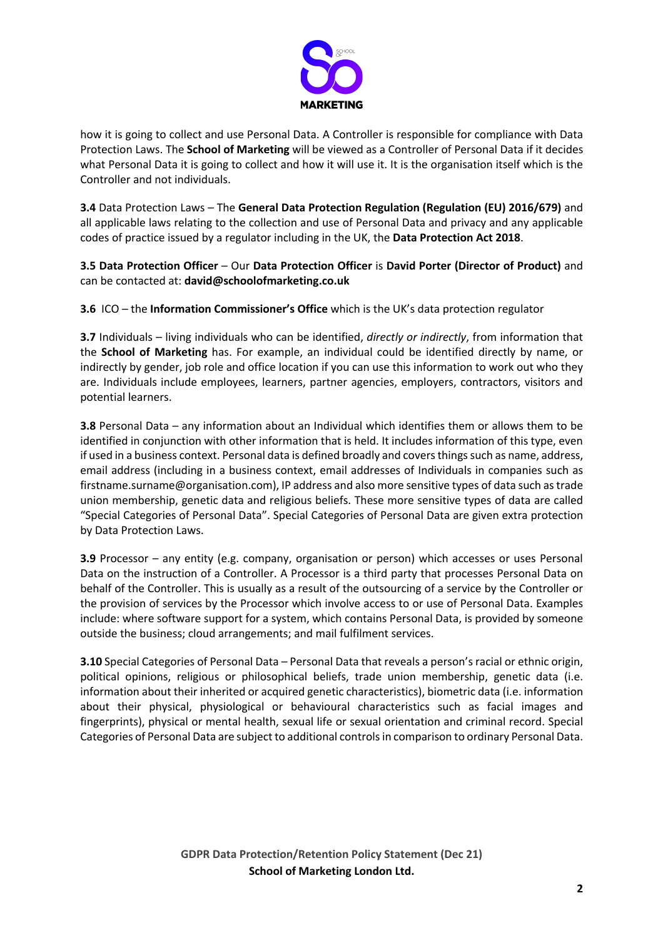

how it is going to collect and use Personal Data. A Controller is responsible for compliance with Data Protection Laws. The **School of Marketing** will be viewed as a Controller of Personal Data if it decides what Personal Data it is going to collect and how it will use it. It is the organisation itself which is the Controller and not individuals.

**3.4** Data Protection Laws – The **General Data Protection Regulation (Regulation (EU) 2016/679)** and all applicable laws relating to the collection and use of Personal Data and privacy and any applicable codes of practice issued by a regulator including in the UK, the **Data Protection Act 2018**.

**3.5 Data Protection Officer** – Our **Data Protection Officer** is **David Porter (Director of Product)** and can be contacted at: **david@schoolofmarketing.co.uk**

**3.6** ICO – the **Information Commissioner's Office** which is the UK's data protection regulator

**3.7** Individuals – living individuals who can be identified, *directly or indirectly*, from information that the **School of Marketing** has. For example, an individual could be identified directly by name, or indirectly by gender, job role and office location if you can use this information to work out who they are. Individuals include employees, learners, partner agencies, employers, contractors, visitors and potential learners.

**3.8** Personal Data – any information about an Individual which identifies them or allows them to be identified in conjunction with other information that is held. It includes information of this type, even if used in a business context. Personal data is defined broadly and covers things such as name, address, email address (including in a business context, email addresses of Individuals in companies such as firstname.surname@organisation.com), IP address and also more sensitive types of data such as trade union membership, genetic data and religious beliefs. These more sensitive types of data are called "Special Categories of Personal Data". Special Categories of Personal Data are given extra protection by Data Protection Laws.

**3.9** Processor – any entity (e.g. company, organisation or person) which accesses or uses Personal Data on the instruction of a Controller. A Processor is a third party that processes Personal Data on behalf of the Controller. This is usually as a result of the outsourcing of a service by the Controller or the provision of services by the Processor which involve access to or use of Personal Data. Examples include: where software support for a system, which contains Personal Data, is provided by someone outside the business; cloud arrangements; and mail fulfilment services.

**3.10** Special Categories of Personal Data – Personal Data that reveals a person's racial or ethnic origin, political opinions, religious or philosophical beliefs, trade union membership, genetic data (i.e. information about their inherited or acquired genetic characteristics), biometric data (i.e. information about their physical, physiological or behavioural characteristics such as facial images and fingerprints), physical or mental health, sexual life or sexual orientation and criminal record. Special Categories of Personal Data are subject to additional controls in comparison to ordinary Personal Data.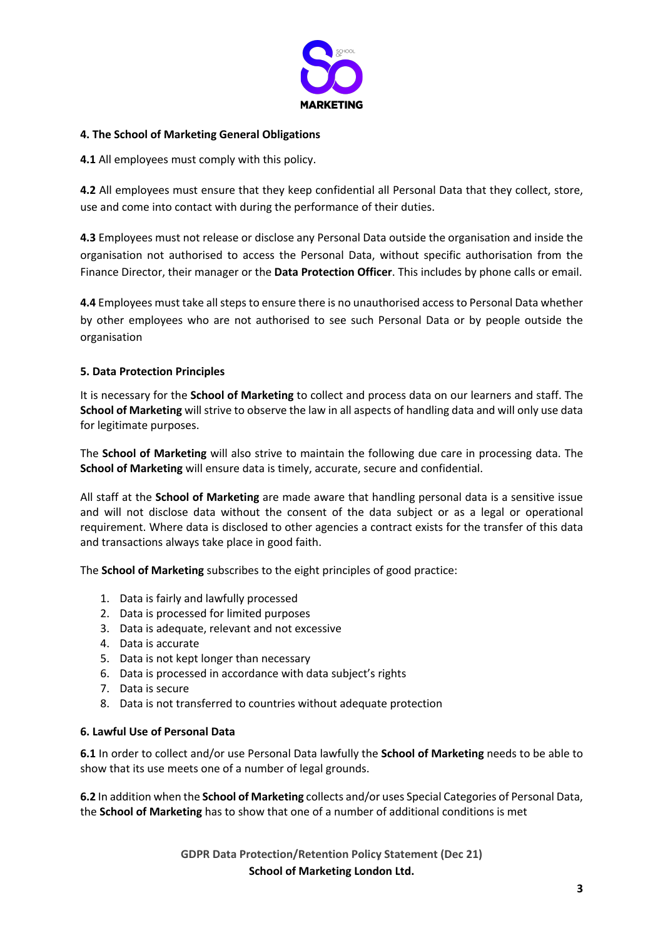

## **4. The School of Marketing General Obligations**

**4.1** All employees must comply with this policy.

**4.2** All employees must ensure that they keep confidential all Personal Data that they collect, store, use and come into contact with during the performance of their duties.

**4.3** Employees must not release or disclose any Personal Data outside the organisation and inside the organisation not authorised to access the Personal Data, without specific authorisation from the Finance Director, their manager or the **Data Protection Officer**. This includes by phone calls or email.

**4.4** Employees must take all steps to ensure there is no unauthorised access to Personal Data whether by other employees who are not authorised to see such Personal Data or by people outside the organisation

# **5. Data Protection Principles**

It is necessary for the **School of Marketing** to collect and process data on our learners and staff. The **School of Marketing** will strive to observe the law in all aspects of handling data and will only use data for legitimate purposes.

The **School of Marketing** will also strive to maintain the following due care in processing data. The **School of Marketing** will ensure data is timely, accurate, secure and confidential.

All staff at the **School of Marketing** are made aware that handling personal data is a sensitive issue and will not disclose data without the consent of the data subject or as a legal or operational requirement. Where data is disclosed to other agencies a contract exists for the transfer of this data and transactions always take place in good faith.

The **School of Marketing** subscribes to the eight principles of good practice:

- 1. Data is fairly and lawfully processed
- 2. Data is processed for limited purposes
- 3. Data is adequate, relevant and not excessive
- 4. Data is accurate
- 5. Data is not kept longer than necessary
- 6. Data is processed in accordance with data subject's rights
- 7. Data is secure
- 8. Data is not transferred to countries without adequate protection

## **6. Lawful Use of Personal Data**

**6.1** In order to collect and/or use Personal Data lawfully the **School of Marketing** needs to be able to show that its use meets one of a number of legal grounds.

**6.2** In addition when the **School of Marketing** collects and/or uses Special Categories of Personal Data, the **School of Marketing** has to show that one of a number of additional conditions is met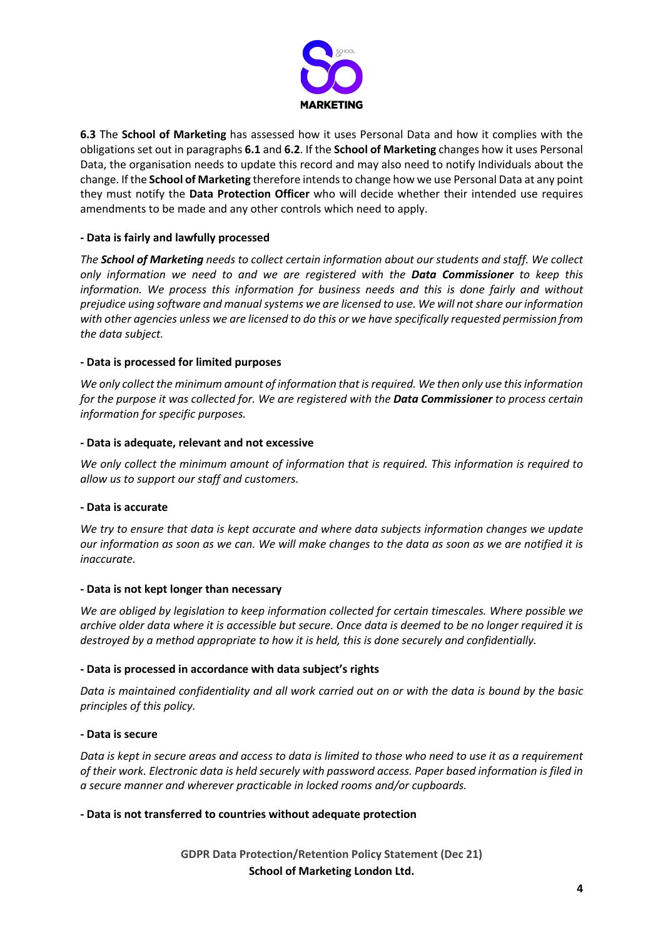

**6.3** The **School of Marketing** has assessed how it uses Personal Data and how it complies with the obligations set out in paragraphs **6.1** and **6.2**. If the **School of Marketing** changes how it uses Personal Data, the organisation needs to update this record and may also need to notify Individuals about the change. If the **School of Marketing** therefore intends to change how we use Personal Data at any point they must notify the **Data Protection Officer** who will decide whether their intended use requires amendments to be made and any other controls which need to apply.

### **- Data is fairly and lawfully processed**

*The School of Marketing needs to collect certain information about our students and staff. We collect only information we need to and we are registered with the Data Commissioner to keep this information. We process this information for business needs and this is done fairly and without prejudice using software and manual systems we are licensed to use. We will not share our information with other agencies unless we are licensed to do this or we have specifically requested permission from the data subject.*

#### **- Data is processed for limited purposes**

*We only collect the minimum amount of information that is required. We then only use this information for the purpose it was collected for. We are registered with the Data Commissioner to process certain information for specific purposes.*

#### **- Data is adequate, relevant and not excessive**

*We only collect the minimum amount of information that is required. This information is required to allow us to support our staff and customers.*

#### **- Data is accurate**

*We try to ensure that data is kept accurate and where data subjects information changes we update our information as soon as we can. We will make changes to the data as soon as we are notified it is inaccurate.*

#### **- Data is not kept longer than necessary**

*We are obliged by legislation to keep information collected for certain timescales. Where possible we archive older data where it is accessible but secure. Once data is deemed to be no longer required it is destroyed by a method appropriate to how it is held, this is done securely and confidentially.*

## **- Data is processed in accordance with data subject's rights**

*Data is maintained confidentiality and all work carried out on or with the data is bound by the basic principles of this policy.*

#### **- Data is secure**

*Data is kept in secure areas and access to data is limited to those who need to use it as a requirement of their work. Electronic data is held securely with password access. Paper based information is filed in a secure manner and wherever practicable in locked rooms and/or cupboards.*

## **- Data is not transferred to countries without adequate protection**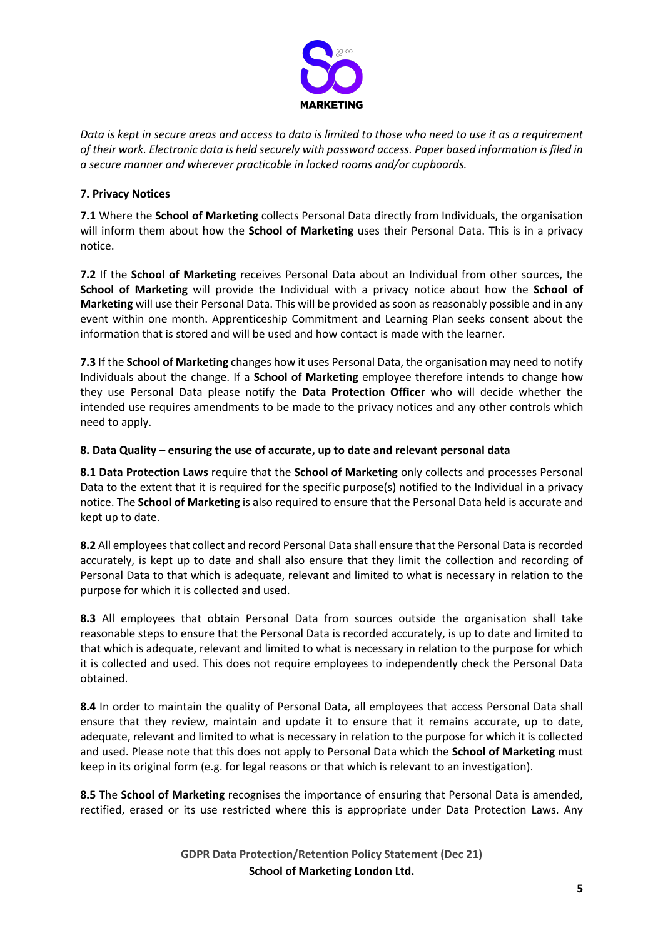

*Data is kept in secure areas and access to data is limited to those who need to use it as a requirement of their work. Electronic data is held securely with password access. Paper based information is filed in a secure manner and wherever practicable in locked rooms and/or cupboards.*

# **7. Privacy Notices**

**7.1** Where the **School of Marketing** collects Personal Data directly from Individuals, the organisation will inform them about how the **School of Marketing** uses their Personal Data. This is in a privacy notice.

**7.2** If the **School of Marketing** receives Personal Data about an Individual from other sources, the **School of Marketing** will provide the Individual with a privacy notice about how the **School of Marketing** will use their Personal Data. This will be provided as soon as reasonably possible and in any event within one month. Apprenticeship Commitment and Learning Plan seeks consent about the information that is stored and will be used and how contact is made with the learner.

**7.3** If the **School of Marketing** changes how it uses Personal Data, the organisation may need to notify Individuals about the change. If a **School of Marketing** employee therefore intends to change how they use Personal Data please notify the **Data Protection Officer** who will decide whether the intended use requires amendments to be made to the privacy notices and any other controls which need to apply.

## **8. Data Quality – ensuring the use of accurate, up to date and relevant personal data**

**8.1 Data Protection Laws** require that the **School of Marketing** only collects and processes Personal Data to the extent that it is required for the specific purpose(s) notified to the Individual in a privacy notice. The **School of Marketing** is also required to ensure that the Personal Data held is accurate and kept up to date.

**8.2** All employees that collect and record Personal Data shall ensure that the Personal Data is recorded accurately, is kept up to date and shall also ensure that they limit the collection and recording of Personal Data to that which is adequate, relevant and limited to what is necessary in relation to the purpose for which it is collected and used.

**8.3** All employees that obtain Personal Data from sources outside the organisation shall take reasonable steps to ensure that the Personal Data is recorded accurately, is up to date and limited to that which is adequate, relevant and limited to what is necessary in relation to the purpose for which it is collected and used. This does not require employees to independently check the Personal Data obtained.

**8.4** In order to maintain the quality of Personal Data, all employees that access Personal Data shall ensure that they review, maintain and update it to ensure that it remains accurate, up to date, adequate, relevant and limited to what is necessary in relation to the purpose for which it is collected and used. Please note that this does not apply to Personal Data which the **School of Marketing** must keep in its original form (e.g. for legal reasons or that which is relevant to an investigation).

**8.5** The **School of Marketing** recognises the importance of ensuring that Personal Data is amended, rectified, erased or its use restricted where this is appropriate under Data Protection Laws. Any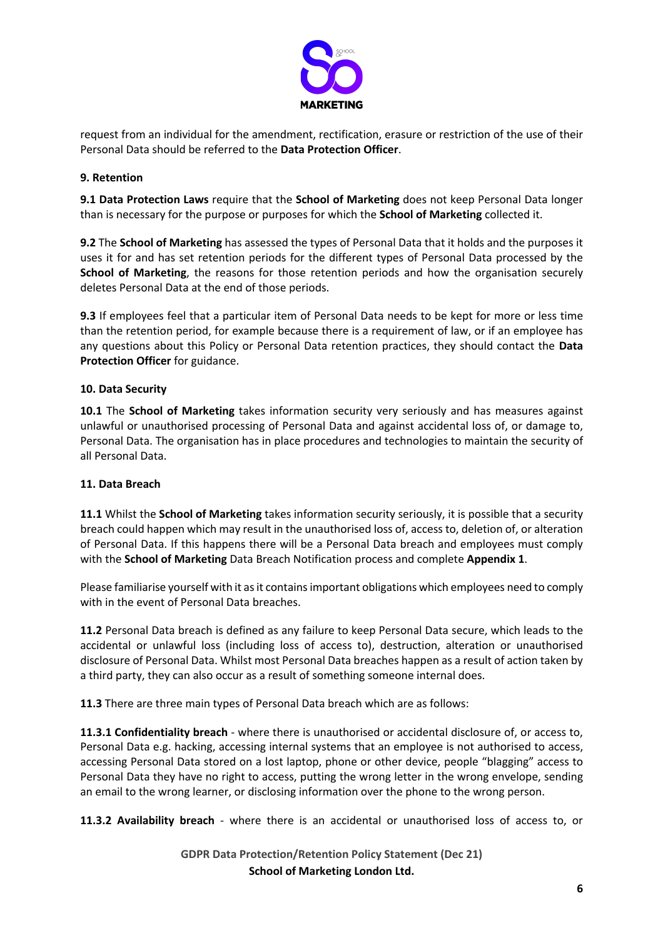

request from an individual for the amendment, rectification, erasure or restriction of the use of their Personal Data should be referred to the **Data Protection Officer**.

# **9. Retention**

**9.1 Data Protection Laws** require that the **School of Marketing** does not keep Personal Data longer than is necessary for the purpose or purposes for which the **School of Marketing** collected it.

**9.2** The **School of Marketing** has assessed the types of Personal Data that it holds and the purposes it uses it for and has set retention periods for the different types of Personal Data processed by the **School of Marketing**, the reasons for those retention periods and how the organisation securely deletes Personal Data at the end of those periods.

**9.3** If employees feel that a particular item of Personal Data needs to be kept for more or less time than the retention period, for example because there is a requirement of law, or if an employee has any questions about this Policy or Personal Data retention practices, they should contact the **Data Protection Officer** for guidance.

## **10. Data Security**

**10.1** The **School of Marketing** takes information security very seriously and has measures against unlawful or unauthorised processing of Personal Data and against accidental loss of, or damage to, Personal Data. The organisation has in place procedures and technologies to maintain the security of all Personal Data.

## **11. Data Breach**

**11.1** Whilst the **School of Marketing** takes information security seriously, it is possible that a security breach could happen which may result in the unauthorised loss of, access to, deletion of, or alteration of Personal Data. If this happens there will be a Personal Data breach and employees must comply with the **School of Marketing** Data Breach Notification process and complete **Appendix 1**.

Please familiarise yourself with it as it contains important obligations which employees need to comply with in the event of Personal Data breaches.

**11.2** Personal Data breach is defined as any failure to keep Personal Data secure, which leads to the accidental or unlawful loss (including loss of access to), destruction, alteration or unauthorised disclosure of Personal Data. Whilst most Personal Data breaches happen as a result of action taken by a third party, they can also occur as a result of something someone internal does.

**11.3** There are three main types of Personal Data breach which are as follows:

**11.3.1 Confidentiality breach** - where there is unauthorised or accidental disclosure of, or access to, Personal Data e.g. hacking, accessing internal systems that an employee is not authorised to access, accessing Personal Data stored on a lost laptop, phone or other device, people "blagging" access to Personal Data they have no right to access, putting the wrong letter in the wrong envelope, sending an email to the wrong learner, or disclosing information over the phone to the wrong person.

**11.3.2 Availability breach** - where there is an accidental or unauthorised loss of access to, or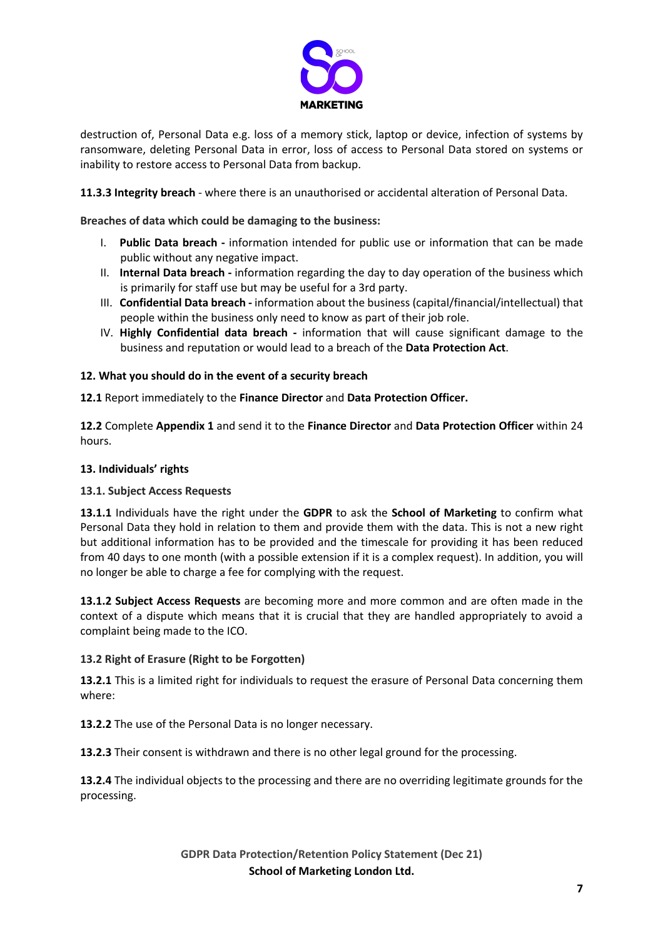

destruction of, Personal Data e.g. loss of a memory stick, laptop or device, infection of systems by ransomware, deleting Personal Data in error, loss of access to Personal Data stored on systems or inability to restore access to Personal Data from backup.

**11.3.3 Integrity breach** - where there is an unauthorised or accidental alteration of Personal Data.

**Breaches of data which could be damaging to the business:**

- I. **Public Data breach -** information intended for public use or information that can be made public without any negative impact.
- II. **Internal Data breach -** information regarding the day to day operation of the business which is primarily for staff use but may be useful for a 3rd party.
- III. **Confidential Data breach -** information about the business (capital/financial/intellectual) that people within the business only need to know as part of their job role.
- IV. **Highly Confidential data breach -** information that will cause significant damage to the business and reputation or would lead to a breach of the **Data Protection Act**.

## **12. What you should do in the event of a security breach**

**12.1** Report immediately to the **Finance Director** and **Data Protection Officer.**

**12.2** Complete **Appendix 1** and send it to the **Finance Director** and **Data Protection Officer** within 24 hours.

#### **13. Individuals' rights**

#### **13.1. Subject Access Requests**

**13.1.1** Individuals have the right under the **GDPR** to ask the **School of Marketing** to confirm what Personal Data they hold in relation to them and provide them with the data. This is not a new right but additional information has to be provided and the timescale for providing it has been reduced from 40 days to one month (with a possible extension if it is a complex request). In addition, you will no longer be able to charge a fee for complying with the request.

**13.1.2 Subject Access Requests** are becoming more and more common and are often made in the context of a dispute which means that it is crucial that they are handled appropriately to avoid a complaint being made to the ICO.

## **13.2 Right of Erasure (Right to be Forgotten)**

**13.2.1** This is a limited right for individuals to request the erasure of Personal Data concerning them where:

**13.2.2** The use of the Personal Data is no longer necessary.

**13.2.3** Their consent is withdrawn and there is no other legal ground for the processing.

**13.2.4** The individual objects to the processing and there are no overriding legitimate grounds for the processing.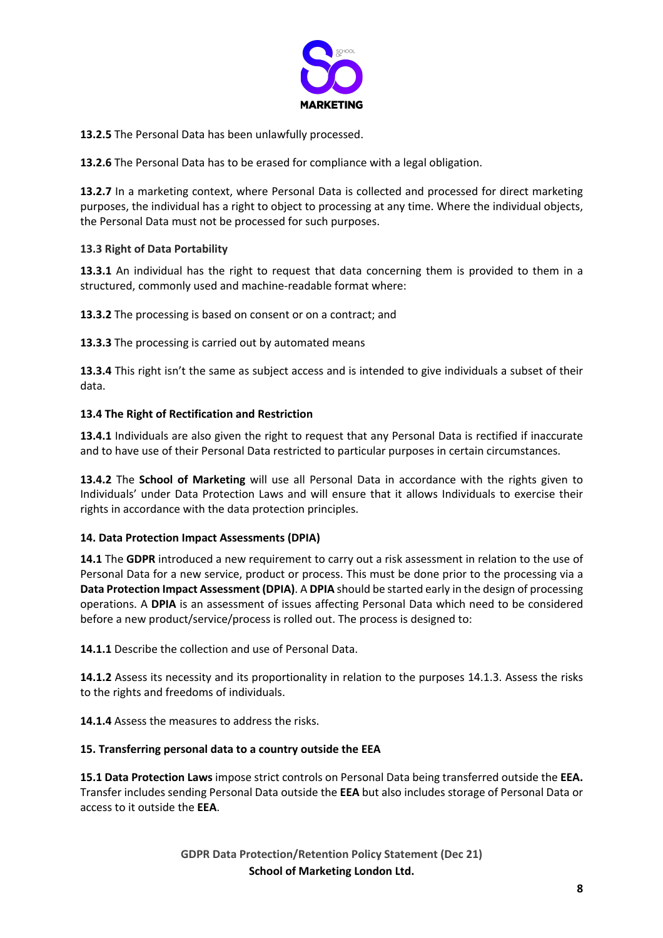

**13.2.5** The Personal Data has been unlawfully processed.

**13.2.6** The Personal Data has to be erased for compliance with a legal obligation.

**13.2.7** In a marketing context, where Personal Data is collected and processed for direct marketing purposes, the individual has a right to object to processing at any time. Where the individual objects, the Personal Data must not be processed for such purposes.

### **13.3 Right of Data Portability**

**13.3.1** An individual has the right to request that data concerning them is provided to them in a structured, commonly used and machine-readable format where:

**13.3.2** The processing is based on consent or on a contract; and

**13.3.3** The processing is carried out by automated means

**13.3.4** This right isn't the same as subject access and is intended to give individuals a subset of their data.

### **13.4 The Right of Rectification and Restriction**

**13.4.1** Individuals are also given the right to request that any Personal Data is rectified if inaccurate and to have use of their Personal Data restricted to particular purposes in certain circumstances.

**13.4.2** The **School of Marketing** will use all Personal Data in accordance with the rights given to Individuals' under Data Protection Laws and will ensure that it allows Individuals to exercise their rights in accordance with the data protection principles.

#### **14. Data Protection Impact Assessments (DPIA)**

**14.1** The **GDPR** introduced a new requirement to carry out a risk assessment in relation to the use of Personal Data for a new service, product or process. This must be done prior to the processing via a **Data Protection Impact Assessment (DPIA)**. A **DPIA** should be started early in the design of processing operations. A **DPIA** is an assessment of issues affecting Personal Data which need to be considered before a new product/service/process is rolled out. The process is designed to:

**14.1.1** Describe the collection and use of Personal Data.

**14.1.2** Assess its necessity and its proportionality in relation to the purposes 14.1.3. Assess the risks to the rights and freedoms of individuals.

**14.1.4** Assess the measures to address the risks.

#### **15. Transferring personal data to a country outside the EEA**

**15.1 Data Protection Laws** impose strict controls on Personal Data being transferred outside the **EEA.** Transfer includes sending Personal Data outside the **EEA** but also includes storage of Personal Data or access to it outside the **EEA**.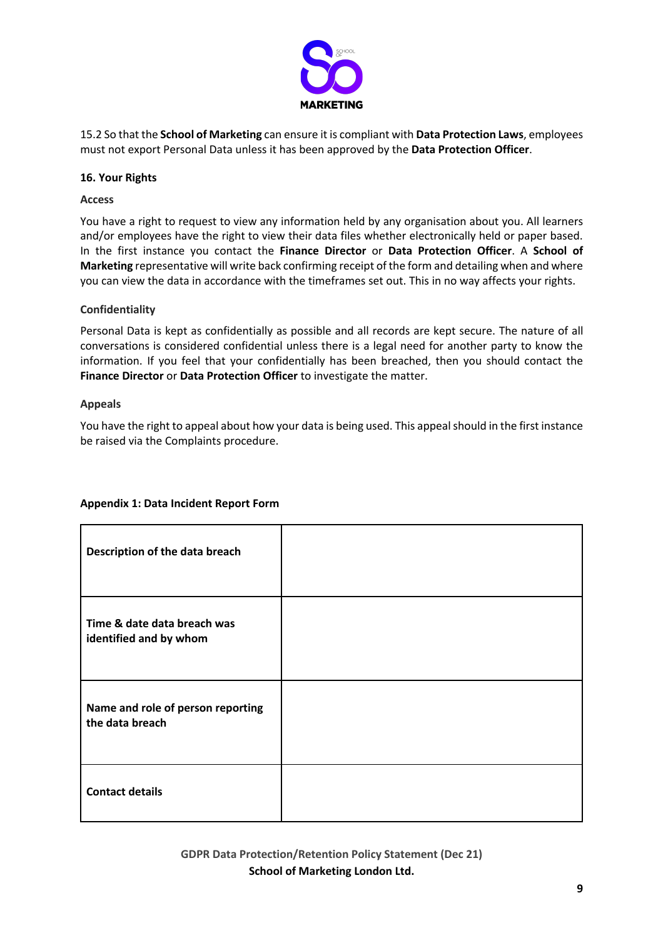

15.2 So that the **School of Marketing** can ensure it is compliant with **Data Protection Laws**, employees must not export Personal Data unless it has been approved by the **Data Protection Officer**.

### **16. Your Rights**

#### **Access**

You have a right to request to view any information held by any organisation about you. All learners and/or employees have the right to view their data files whether electronically held or paper based. In the first instance you contact the **Finance Director** or **Data Protection Officer**. A **School of Marketing** representative will write back confirming receipt of the form and detailing when and where you can view the data in accordance with the timeframes set out. This in no way affects your rights.

### **Confidentiality**

Personal Data is kept as confidentially as possible and all records are kept secure. The nature of all conversations is considered confidential unless there is a legal need for another party to know the information. If you feel that your confidentially has been breached, then you should contact the **Finance Director** or **Data Protection Officer** to investigate the matter.

#### **Appeals**

You have the right to appeal about how your data is being used. This appeal should in the first instance be raised via the Complaints procedure.

| Description of the data breach                        |  |
|-------------------------------------------------------|--|
| Time & date data breach was<br>identified and by whom |  |
| Name and role of person reporting<br>the data breach  |  |
| <b>Contact details</b>                                |  |

# **Appendix 1: Data Incident Report Form**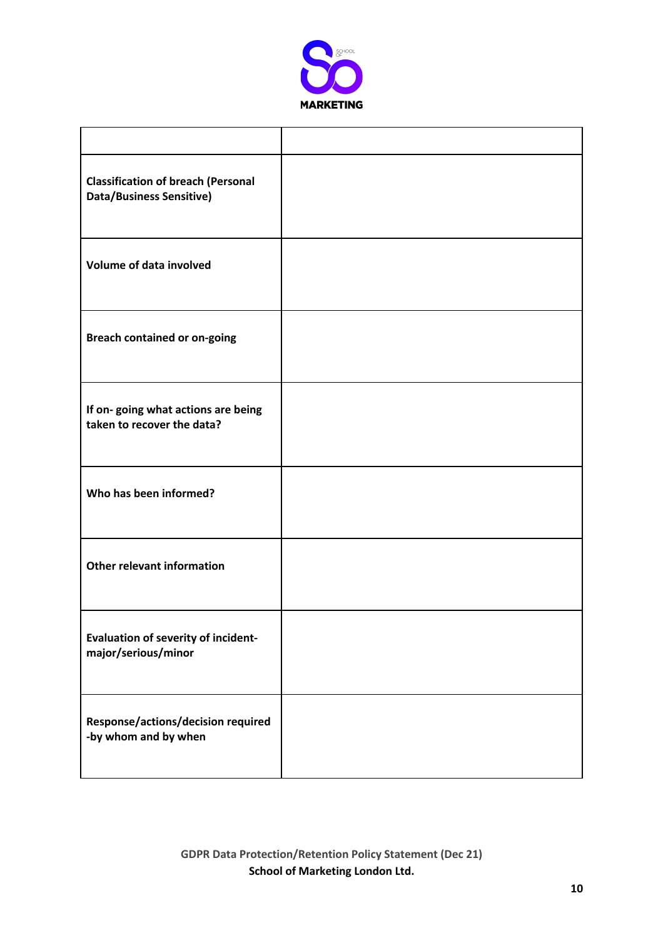

| <b>Classification of breach (Personal</b><br><b>Data/Business Sensitive)</b> |  |
|------------------------------------------------------------------------------|--|
| <b>Volume of data involved</b>                                               |  |
| <b>Breach contained or on-going</b>                                          |  |
| If on-going what actions are being<br>taken to recover the data?             |  |
| Who has been informed?                                                       |  |
| <b>Other relevant information</b>                                            |  |
| <b>Evaluation of severity of incident-</b><br>major/serious/minor            |  |
| Response/actions/decision required<br>-by whom and by when                   |  |